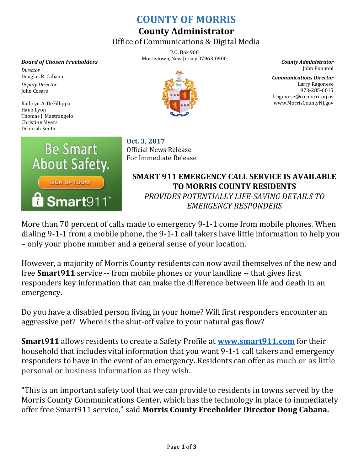## **COUNTY OF MORRIS**

## **County Administrator**

Office of Communications & Digital Media

P.O. Box 900 Morristown, New Jersey 07963-0900 *County Administrator*

*Board of Chosen Freeholders*

*Director* Douglas R. Cabana *Deputy Director* John Cesaro

Kathryn A. DeFillippo Hank Lyon Thomas J. Mastrangelo Christine Myers Deborah Smith



**Oct. 3, 2017** Official News Release For Immediate Release

**SMART 911 EMERGENCY CALL SERVICE IS AVAILABLE TO MORRIS COUNTY RESIDENTS** *PROVIDES POTENTIALLY LIFE-SAVING DETAILS TO EMERGENCY RESPONDERS*

More than 70 percent of calls made to emergency 9-1-1 come from mobile phones. When dialing 9-1-1 from a mobile phone, the 9-1-1 call takers have little information to help you – only your phone number and a general sense of your location.

However, a majority of Morris County residents can now avail themselves of the new and free **Smart911** service -- from mobile phones or your landline -- that gives first responders key information that can make the difference between life and death in an emergency.

Do you have a disabled person living in your home? Will first responders encounter an aggressive pet? Where is the shut-off valve to your natural gas flow?

**Smart911** allows residents to create a Safety Profile at **[www.smart911.com](http://www.smart911.com/)** for their household that includes vital information that you want 9-1-1 call takers and emergency responders to have in the event of an emergency. Residents can offer as much or as little personal or business information as they wish.

"This is an important safety tool that we can provide to residents in towns served by the Morris County Communications Center, which has the technology in place to immediately offer free Smart911 service,'' said **Morris County Freeholder Director Doug Cabana.**



John Bonanni

*Communications Director* Larry Ragonese 973-285-6015 lragonese@co.morris.nj.us www.MorrisCountyNJ.gov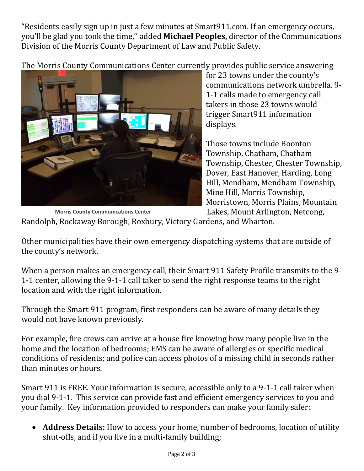"Residents easily sign up in just a few minutes at Smart911.com. If an emergency occurs, you'll be glad you took the time,'' added **Michael Peoples,** director of the Communications Division of the Morris County Department of Law and Public Safety.

The Morris County Communications Center currently provides public service answering



for 23 towns under the county's communications network umbrella. 9- 1-1 calls made to emergency call takers in those 23 towns would trigger Smart911 information displays.

Those towns include Boonton Township, Chatham, Chatham Township, Chester, Chester Township, Dover, East Hanover, Harding, Long Hill, Mendham, Mendham Township, Mine Hill, Morris Township, Morristown, Morris Plains, Mountain Lakes, Mount Arlington, Netcong,

 **Morris County Communications Center**

Randolph, Rockaway Borough, Roxbury, Victory Gardens, and Wharton.

Other municipalities have their own emergency dispatching systems that are outside of the county's network.

When a person makes an emergency call, their Smart 911 Safety Profile transmits to the 9- 1-1 center, allowing the 9-1-1 call taker to send the right response teams to the right location and with the right information.

Through the Smart 911 program, first responders can be aware of many details they would not have known previously.

For example, fire crews can arrive at a house fire knowing how many people live in the home and the location of bedrooms; EMS can be aware of allergies or specific medical conditions of residents; and police can access photos of a missing child in seconds rather than minutes or hours.

Smart 911 is FREE. Your information is secure, accessible only to a 9-1-1 call taker when you dial 9-1-1. This service can provide fast and efficient emergency services to you and your family. Key information provided to responders can make your family safer:

• **Address Details:** How to access your home, number of bedrooms, location of utility shut-offs, and if you live in a multi-family building;